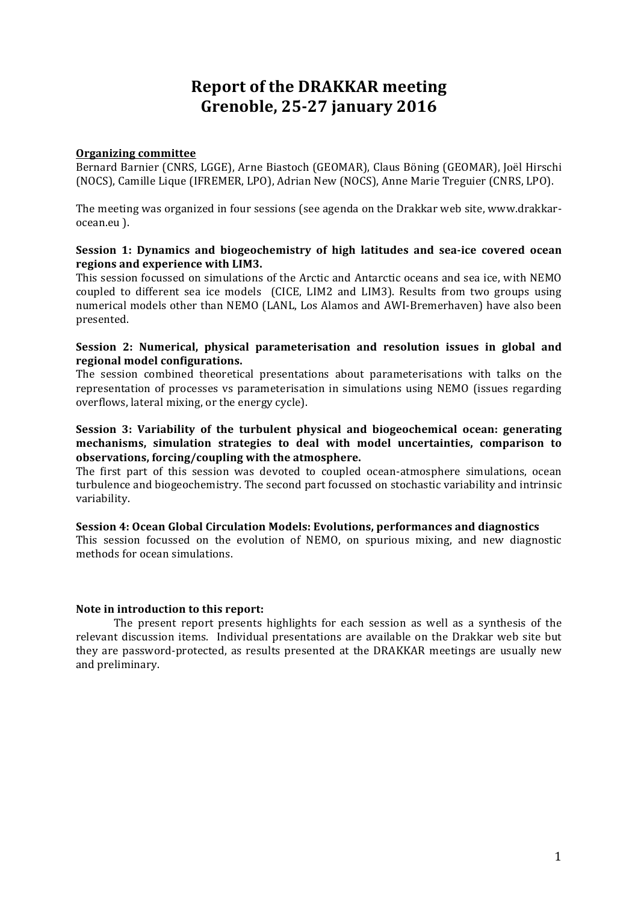# **Report of the DRAKKAR meeting Grenoble, 25-27 january 2016**

#### **Organizing committee**

Bernard Barnier (CNRS, LGGE), Arne Biastoch (GEOMAR), Claus Böning (GEOMAR), Joël Hirschi (NOCS), Camille Lique (IFREMER, LPO), Adrian New (NOCS), Anne Marie Treguier (CNRS, LPO).

The meeting was organized in four sessions (see agenda on the Drakkar web site, www.drakkarocean.eu ).

#### **Session 1: Dynamics and biogeochemistry of high latitudes and sea-ice covered ocean** regions and experience with LIM3.

This session focussed on simulations of the Arctic and Antarctic oceans and sea ice, with NEMO coupled to different sea ice models (CICE, LIM2 and LIM3). Results from two groups using numerical models other than NEMO (LANL, Los Alamos and AWI-Bremerhaven) have also been presented. 

#### **Session 2: Numerical, physical parameterisation and resolution issues in global and regional model configurations.**

The session combined theoretical presentations about parameterisations with talks on the representation of processes vs parameterisation in simulations using NEMO (issues regarding overflows, lateral mixing, or the energy cycle).

#### **Session 3: Variability of the turbulent physical and biogeochemical ocean: generating** mechanisms, simulation strategies to deal with model uncertainties, comparison to observations, forcing/coupling with the atmosphere.

The first part of this session was devoted to coupled ocean-atmosphere simulations, ocean turbulence and biogeochemistry. The second part focussed on stochastic variability and intrinsic variability. 

#### **Session 4: Ocean Global Circulation Models: Evolutions, performances and diagnostics**

This session focussed on the evolution of NEMO, on spurious mixing, and new diagnostic methods for ocean simulations.

### **Note in introduction to this report:**

The present report presents highlights for each session as well as a synthesis of the relevant discussion items. Individual presentations are available on the Drakkar web site but they are password-protected, as results presented at the DRAKKAR meetings are usually new and preliminary.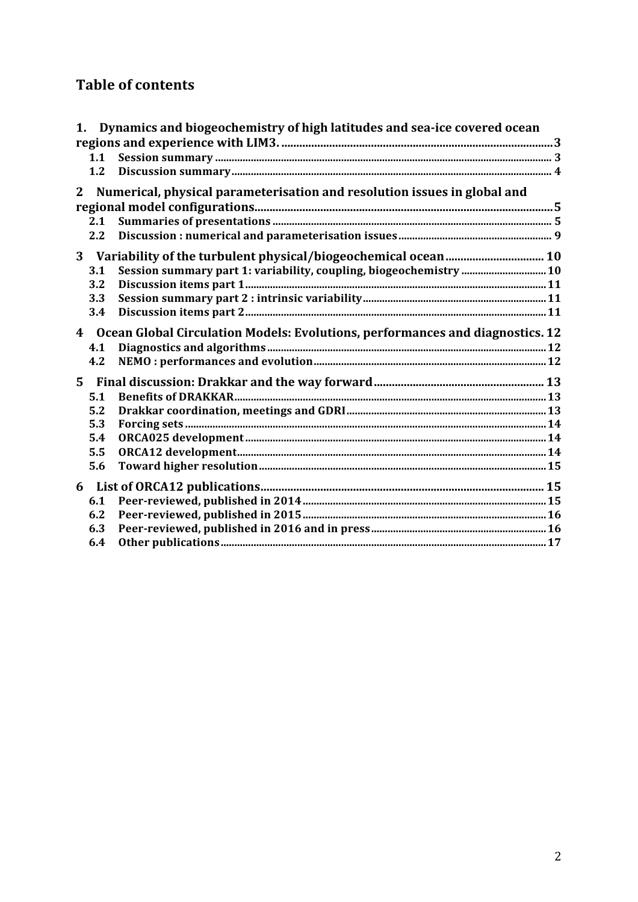# **Table of contents**

|              |                                                                                                 | 1. Dynamics and biogeochemistry of high latitudes and sea-ice covered ocean |  |
|--------------|-------------------------------------------------------------------------------------------------|-----------------------------------------------------------------------------|--|
|              |                                                                                                 |                                                                             |  |
|              | 1.1                                                                                             |                                                                             |  |
|              | 1.2                                                                                             |                                                                             |  |
| $\mathbf{2}$ |                                                                                                 | Numerical, physical parameterisation and resolution issues in global and    |  |
|              |                                                                                                 |                                                                             |  |
|              | 2.1                                                                                             |                                                                             |  |
|              | 2.2                                                                                             |                                                                             |  |
| 3            |                                                                                                 |                                                                             |  |
|              | 3.1                                                                                             | Session summary part 1: variability, coupling, biogeochemistry 10           |  |
|              | 3.2                                                                                             |                                                                             |  |
|              | 3.3                                                                                             |                                                                             |  |
|              | 3.4                                                                                             |                                                                             |  |
|              | $\overline{4}$<br>Ocean Global Circulation Models: Evolutions, performances and diagnostics. 12 |                                                                             |  |
|              | 4.1                                                                                             |                                                                             |  |
|              | 4.2                                                                                             |                                                                             |  |
| $5^{\circ}$  |                                                                                                 |                                                                             |  |
|              | 5.1                                                                                             |                                                                             |  |
|              | 5.2                                                                                             |                                                                             |  |
|              | 5.3                                                                                             |                                                                             |  |
|              | 5.4                                                                                             |                                                                             |  |
|              | 5.5                                                                                             |                                                                             |  |
|              | 5.6                                                                                             |                                                                             |  |
| 6            |                                                                                                 |                                                                             |  |
|              | 6.1                                                                                             |                                                                             |  |
|              | 6.2                                                                                             |                                                                             |  |
|              | 6.3                                                                                             |                                                                             |  |
|              | 6.4                                                                                             |                                                                             |  |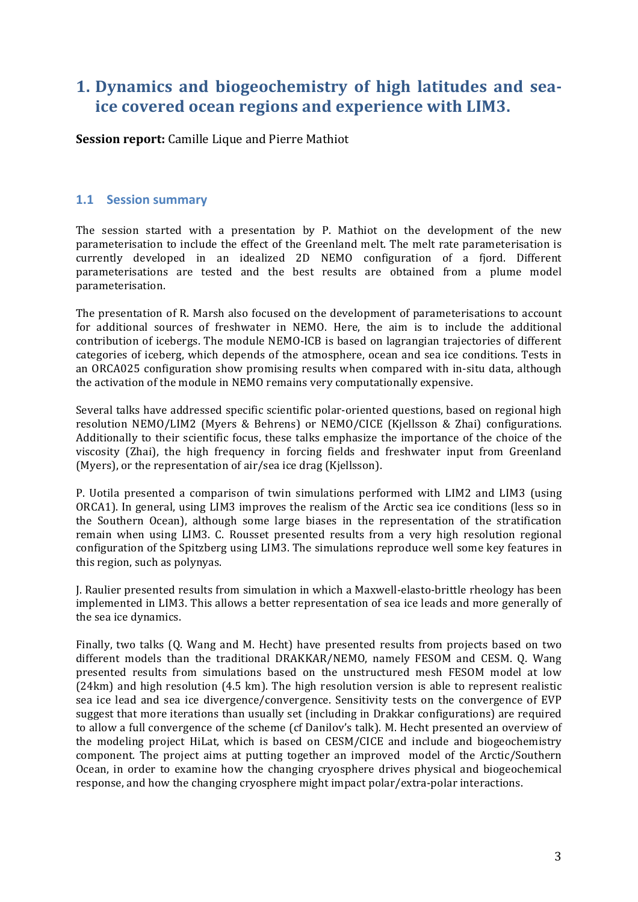# 1. Dynamics and biogeochemistry of high latitudes and sea**ice covered ocean regions and experience with LIM3.**

**Session report:** Camille Lique and Pierre Mathiot

## **1.1 Session summary**

The session started with a presentation by P. Mathiot on the development of the new parameterisation to include the effect of the Greenland melt. The melt rate parameterisation is currently developed in an idealized 2D NEMO configuration of a fjord. Different parameterisations are tested and the best results are obtained from a plume model parameterisation.

The presentation of R. Marsh also focused on the development of parameterisations to account for additional sources of freshwater in NEMO. Here, the aim is to include the additional contribution of icebergs. The module NEMO-ICB is based on lagrangian trajectories of different categories of iceberg, which depends of the atmosphere, ocean and sea ice conditions. Tests in an ORCA025 configuration show promising results when compared with in-situ data, although the activation of the module in NEMO remains very computationally expensive.

Several talks have addressed specific scientific polar-oriented questions, based on regional high resolution NEMO/LIM2 (Myers & Behrens) or NEMO/CICE (Kjellsson & Zhai) configurations. Additionally to their scientific focus, these talks emphasize the importance of the choice of the viscosity (Zhai), the high frequency in forcing fields and freshwater input from Greenland (Myers), or the representation of air/sea ice drag (Kjellsson).

P. Uotila presented a comparison of twin simulations performed with LIM2 and LIM3 (using ORCA1). In general, using LIM3 improves the realism of the Arctic sea ice conditions (less so in the Southern Ocean), although some large biases in the representation of the stratification remain when using LIM3. C. Rousset presented results from a very high resolution regional configuration of the Spitzberg using LIM3. The simulations reproduce well some key features in this region, such as polynyas.

J. Raulier presented results from simulation in which a Maxwell-elasto-brittle rheology has been implemented in LIM3. This allows a better representation of sea ice leads and more generally of the sea ice dynamics.

Finally, two talks (Q. Wang and M. Hecht) have presented results from projects based on two different models than the traditional DRAKKAR/NEMO, namely FESOM and CESM. Q. Wang presented results from simulations based on the unstructured mesh FESOM model at low  $(24km)$  and high resolution  $(4.5 \text{ km})$ . The high resolution version is able to represent realistic sea ice lead and sea ice divergence/convergence. Sensitivity tests on the convergence of EVP suggest that more iterations than usually set (including in Drakkar configurations) are required to allow a full convergence of the scheme (cf Danilov's talk). M. Hecht presented an overview of the modeling project HiLat, which is based on CESM/CICE and include and biogeochemistry component. The project aims at putting together an improved model of the Arctic/Southern Ocean, in order to examine how the changing cryosphere drives physical and biogeochemical response, and how the changing cryosphere might impact polar/extra-polar interactions.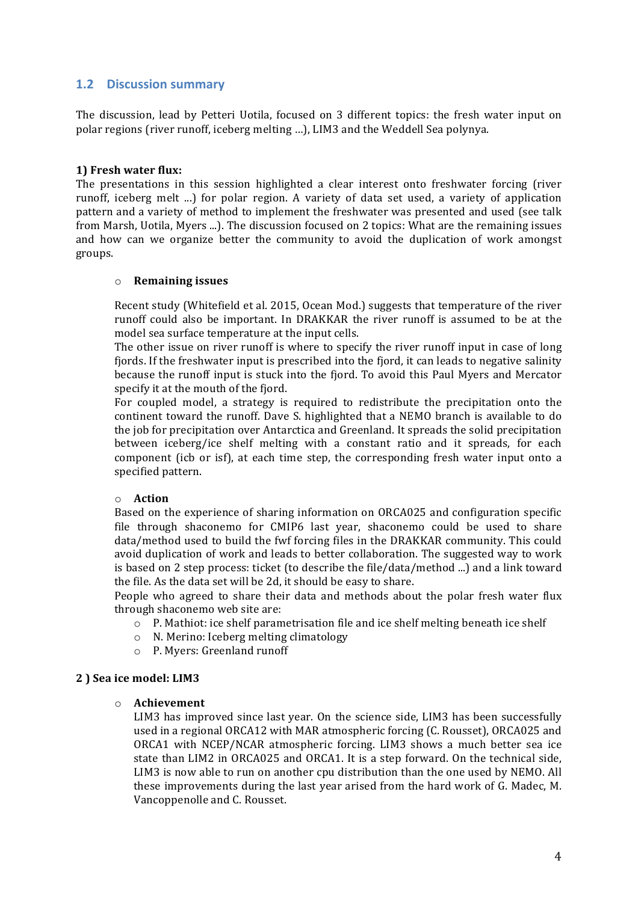## **1.2 Discussion summary**

The discussion, lead by Petteri Uotila, focused on 3 different topics: the fresh water input on polar regions (river runoff, iceberg melting ...), LIM3 and the Weddell Sea polynya.

#### **1) Fresh water flux:**

The presentations in this session highlighted a clear interest onto freshwater forcing (river runoff, iceberg melt ...) for polar region. A variety of data set used, a variety of application pattern and a variety of method to implement the freshwater was presented and used (see talk from Marsh, Uotila, Myers ...). The discussion focused on 2 topics: What are the remaining issues and how can we organize better the community to avoid the duplication of work amongst groups.

#### o **Remaining issues**

Recent study (Whitefield et al. 2015, Ocean Mod.) suggests that temperature of the river runoff could also be important. In DRAKKAR the river runoff is assumed to be at the model sea surface temperature at the input cells.

The other issue on river runoff is where to specify the river runoff input in case of long fiords. If the freshwater input is prescribed into the fiord, it can leads to negative salinity because the runoff input is stuck into the fjord. To avoid this Paul Myers and Mercator specify it at the mouth of the fiord.

For coupled model, a strategy is required to redistribute the precipitation onto the continent toward the runoff. Dave S. highlighted that a NEMO branch is available to do the job for precipitation over Antarctica and Greenland. It spreads the solid precipitation between iceberg/ice shelf melting with a constant ratio and it spreads, for each component (icb or isf), at each time step, the corresponding fresh water input onto a specified pattern.

#### o **Action**

Based on the experience of sharing information on ORCA025 and configuration specific file through shaconemo for CMIP6 last year, shaconemo could be used to share data/method used to build the fwf forcing files in the DRAKKAR community. This could avoid duplication of work and leads to better collaboration. The suggested way to work is based on 2 step process: ticket (to describe the file/data/method ...) and a link toward the file. As the data set will be 2d, it should be easy to share.

People who agreed to share their data and methods about the polar fresh water flux through shaconemo web site are:

- o P. Mathiot: ice shelf parametrisation file and ice shelf melting beneath ice shelf
- $\circ$  N. Merino: Iceberg melting climatology
- o P. Myers: Greenland runoff

#### **2 ) Sea ice model: LIM3**

#### o **Achievement**

LIM3 has improved since last year. On the science side, LIM3 has been successfully used in a regional ORCA12 with MAR atmospheric forcing (C. Rousset), ORCA025 and  $ORCA1$  with  $NCEP/NCAR$  atmospheric forcing. LIM3 shows a much better sea ice state than LIM2 in ORCA025 and ORCA1. It is a step forward. On the technical side, LIM3 is now able to run on another cpu distribution than the one used by NEMO. All these improvements during the last year arised from the hard work of G. Madec, M. Vancoppenolle and C. Rousset.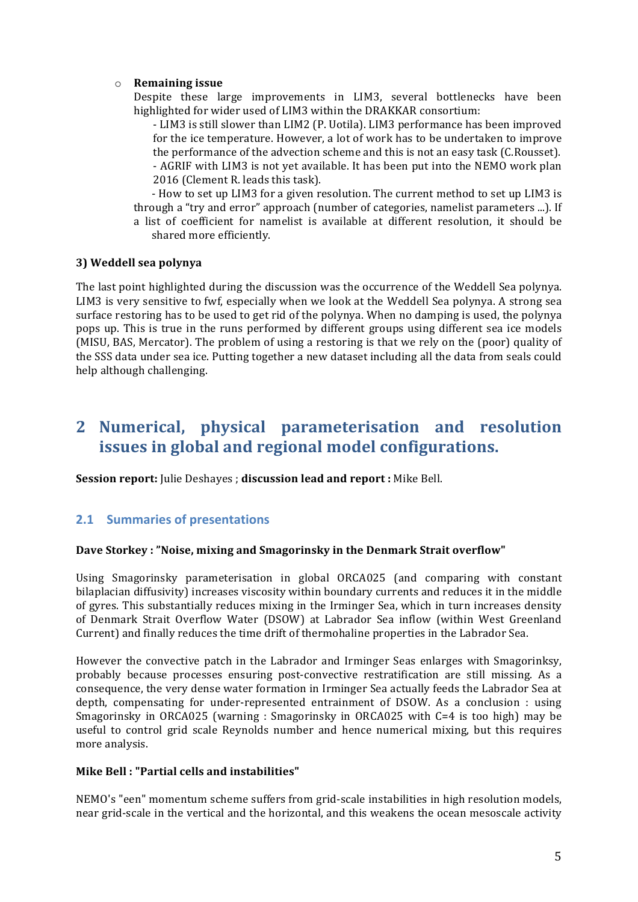### o **Remaining issue**

Despite these large improvements in LIM3, several bottlenecks have been highlighted for wider used of LIM3 within the DRAKKAR consortium:

- LIM3 is still slower than LIM2 (P. Uotila). LIM3 performance has been improved for the ice temperature. However, a lot of work has to be undertaken to improve the performance of the advection scheme and this is not an easy task (C.Rousset). - AGRIF with LIM3 is not yet available. It has been put into the NEMO work plan 2016 (Clement R. leads this task).

- How to set up LIM3 for a given resolution. The current method to set up LIM3 is through a "try and error" approach (number of categories, namelist parameters ...). If a list of coefficient for namelist is available at different resolution, it should be shared more efficiently.

#### **3) Weddell sea polynya**

The last point highlighted during the discussion was the occurrence of the Weddell Sea polynya. LIM3 is very sensitive to fwf, especially when we look at the Weddell Sea polynya. A strong sea surface restoring has to be used to get rid of the polynya. When no damping is used, the polynya pops up. This is true in the runs performed by different groups using different sea ice models (MISU, BAS, Mercator). The problem of using a restoring is that we rely on the (poor) quality of the SSS data under sea ice. Putting together a new dataset including all the data from seals could help although challenging.

## **2 Numerical, physical parameterisation and resolution issues in global and regional model configurations.**

**Session report:** Julie Deshayes ; discussion lead and report : Mike Bell.

## **2.1 Summaries of presentations**

#### **Dave Storkey: "Noise, mixing and Smagorinsky in the Denmark Strait overflow"**

Using Smagorinsky parameterisation in global ORCA025 (and comparing with constant bilaplacian diffusivity) increases viscosity within boundary currents and reduces it in the middle of gyres. This substantially reduces mixing in the Irminger Sea, which in turn increases density of Denmark Strait Overflow Water (DSOW) at Labrador Sea inflow (within West Greenland Current) and finally reduces the time drift of thermohaline properties in the Labrador Sea.

However the convective patch in the Labrador and Irminger Seas enlarges with Smagorinksy, probably because processes ensuring post-convective restratification are still missing. As a consequence, the very dense water formation in Irminger Sea actually feeds the Labrador Sea at depth, compensating for under-represented entrainment of DSOW. As a conclusion : using Smagorinsky in ORCA025 (warning : Smagorinsky in ORCA025 with  $C=4$  is too high) may be useful to control grid scale Reynolds number and hence numerical mixing, but this requires more analysis.

### **Mike Bell : "Partial cells and instabilities"**

NEMO's "een" momentum scheme suffers from grid-scale instabilities in high resolution models, near grid-scale in the vertical and the horizontal, and this weakens the ocean mesoscale activity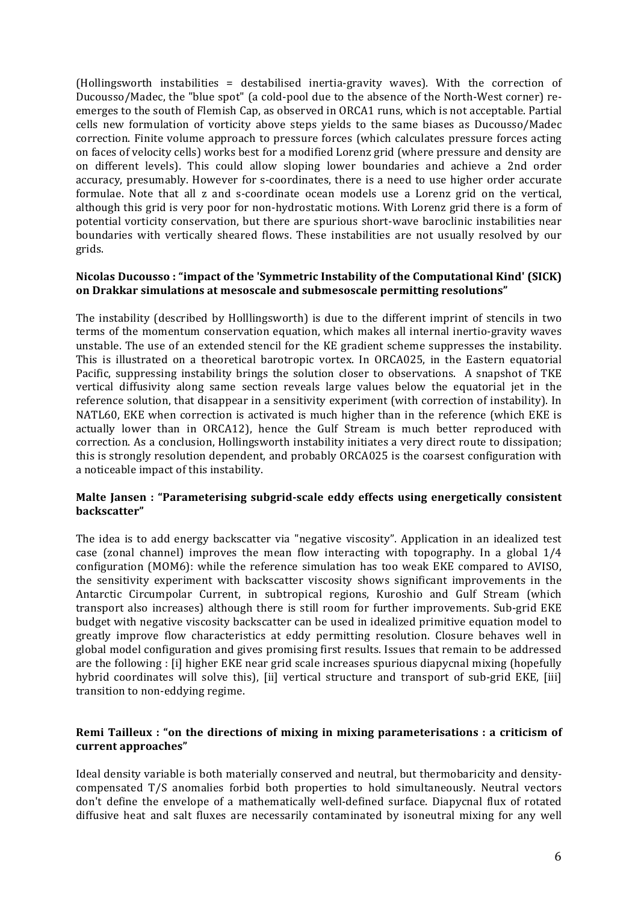(Hollingsworth instabilities = destabilised inertia-gravity waves). With the correction of Ducousso/Madec, the "blue spot" (a cold-pool due to the absence of the North-West corner) reemerges to the south of Flemish Cap, as observed in ORCA1 runs, which is not acceptable. Partial cells new formulation of vorticity above steps yields to the same biases as Ducousso/Madec correction. Finite volume approach to pressure forces (which calculates pressure forces acting on faces of velocity cells) works best for a modified Lorenz grid (where pressure and density are on different levels). This could allow sloping lower boundaries and achieve a 2nd order accuracy, presumably. However for s-coordinates, there is a need to use higher order accurate formulae. Note that all z and s-coordinate ocean models use a Lorenz grid on the vertical, although this grid is very poor for non-hydrostatic motions. With Lorenz grid there is a form of potential vorticity conservation, but there are spurious short-wave baroclinic instabilities near boundaries with vertically sheared flows. These instabilities are not usually resolved by our grids.

#### Nicolas Ducousso : "impact of the 'Symmetric Instability of the Computational Kind' (SICK) on Drakkar simulations at mesoscale and submesoscale permitting resolutions"

The instability (described by Holllingsworth) is due to the different imprint of stencils in two terms of the momentum conservation equation, which makes all internal inertio-gravity waves unstable. The use of an extended stencil for the KE gradient scheme suppresses the instability. This is illustrated on a theoretical barotropic vortex. In ORCA025, in the Eastern equatorial Pacific, suppressing instability brings the solution closer to observations. A snapshot of TKE vertical diffusivity along same section reveals large values below the equatorial jet in the reference solution, that disappear in a sensitivity experiment (with correction of instability). In NATL60, EKE when correction is activated is much higher than in the reference (which EKE is actually lower than in ORCA12), hence the Gulf Stream is much better reproduced with correction. As a conclusion, Hollingsworth instability initiates a very direct route to dissipation; this is strongly resolution dependent, and probably ORCA025 is the coarsest configuration with a noticeable impact of this instability.

#### Malte Jansen : "Parameterising subgrid-scale eddy effects using energetically consistent **backscatter"**

The idea is to add energy backscatter via "negative viscosity". Application in an idealized test case (zonal channel) improves the mean flow interacting with topography. In a global  $1/4$ configuration (MOM6): while the reference simulation has too weak EKE compared to AVISO, the sensitivity experiment with backscatter viscosity shows significant improvements in the Antarctic Circumpolar Current, in subtropical regions, Kuroshio and Gulf Stream (which transport also increases) although there is still room for further improvements. Sub-grid EKE budget with negative viscosity backscatter can be used in idealized primitive equation model to greatly improve flow characteristics at eddy permitting resolution. Closure behaves well in global model configuration and gives promising first results. Issues that remain to be addressed are the following : [i] higher EKE near grid scale increases spurious diapycnal mixing (hopefully hybrid coordinates will solve this), [ii] vertical structure and transport of sub-grid EKE, [iii] transition to non-eddying regime.

#### **Remi Tailleux**: "on the directions of mixing in mixing parameterisations : a criticism of **current approaches"**

Ideal density variable is both materially conserved and neutral, but thermobaricity and densitycompensated  $T/S$  anomalies forbid both properties to hold simultaneously. Neutral vectors don't define the envelope of a mathematically well-defined surface. Diapycnal flux of rotated diffusive heat and salt fluxes are necessarily contaminated by isoneutral mixing for any well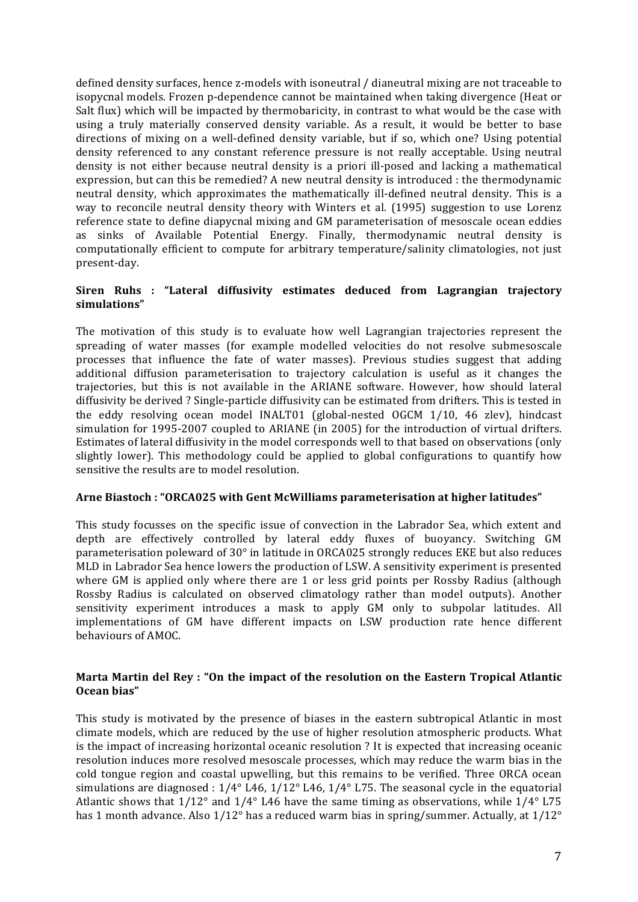defined density surfaces, hence z-models with isoneutral / dianeutral mixing are not traceable to isopycnal models. Frozen p-dependence cannot be maintained when taking divergence (Heat or Salt flux) which will be impacted by thermobaricity, in contrast to what would be the case with using a truly materially conserved density variable. As a result, it would be better to base directions of mixing on a well-defined density variable, but if so, which one? Using potential density referenced to any constant reference pressure is not really acceptable. Using neutral density is not either because neutral density is a priori ill-posed and lacking a mathematical expression, but can this be remedied? A new neutral density is introduced : the thermodynamic neutral density, which approximates the mathematically ill-defined neutral density. This is a way to reconcile neutral density theory with Winters et al. (1995) suggestion to use Lorenz reference state to define diapycnal mixing and GM parameterisation of mesoscale ocean eddies as sinks of Available Potential Energy. Finally, thermodynamic neutral density is computationally efficient to compute for arbitrary temperature/salinity climatologies, not just present-day.

#### **Siren Ruhs : "Lateral diffusivity estimates deduced from Lagrangian trajectory simulations"**

The motivation of this study is to evaluate how well Lagrangian trajectories represent the spreading of water masses (for example modelled velocities do not resolve submesoscale processes that influence the fate of water masses). Previous studies suggest that adding additional diffusion parameterisation to trajectory calculation is useful as it changes the trajectories, but this is not available in the ARIANE software. However, how should lateral diffusivity be derived ? Single-particle diffusivity can be estimated from drifters. This is tested in the eddy resolving ocean model INALT01 (global-nested OGCM 1/10, 46 zlev), hindcast simulation for 1995-2007 coupled to ARIANE (in 2005) for the introduction of virtual drifters. Estimates of lateral diffusivity in the model corresponds well to that based on observations (only slightly lower). This methodology could be applied to global configurations to quantify how sensitive the results are to model resolution.

#### Arne Biastoch : "ORCA025 with Gent McWilliams parameterisation at higher latitudes"

This study focusses on the specific issue of convection in the Labrador Sea, which extent and depth are effectively controlled by lateral eddy fluxes of buoyancy. Switching GM parameterisation poleward of  $30^{\circ}$  in latitude in ORCA025 strongly reduces EKE but also reduces MLD in Labrador Sea hence lowers the production of LSW. A sensitivity experiment is presented where GM is applied only where there are 1 or less grid points per Rossby Radius (although Rossby Radius is calculated on observed climatology rather than model outputs). Another sensitivity experiment introduces a mask to apply GM only to subpolar latitudes. All implementations of GM have different impacts on LSW production rate hence different behaviours of AMOC. 

#### **Marta Martin del Rey : "On the impact of the resolution on the Eastern Tropical Atlantic Ocean bias"**

This study is motivated by the presence of biases in the eastern subtropical Atlantic in most climate models, which are reduced by the use of higher resolution atmospheric products. What is the impact of increasing horizontal oceanic resolution ? It is expected that increasing oceanic resolution induces more resolved mesoscale processes, which may reduce the warm bias in the cold tongue region and coastal upwelling, but this remains to be verified. Three ORCA ocean simulations are diagnosed :  $1/4^{\circ}$  L46,  $1/12^{\circ}$  L46,  $1/4^{\circ}$  L75. The seasonal cycle in the equatorial Atlantic shows that  $1/12^{\circ}$  and  $1/4^{\circ}$  L46 have the same timing as observations, while  $1/4^{\circ}$  L75 has 1 month advance. Also  $1/12^{\circ}$  has a reduced warm bias in spring/summer. Actually, at  $1/12^{\circ}$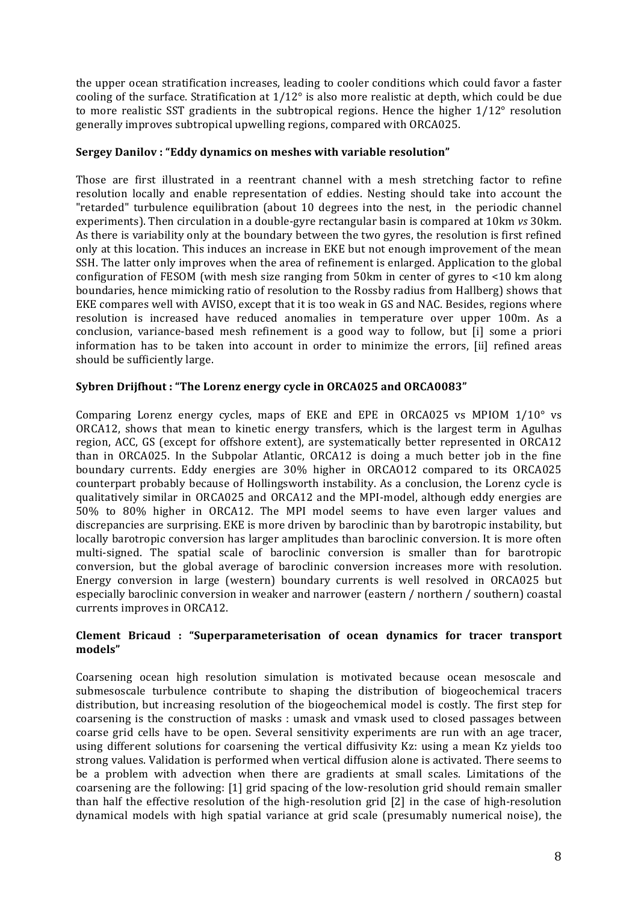the upper ocean stratification increases, leading to cooler conditions which could favor a faster cooling of the surface. Stratification at  $1/12^{\circ}$  is also more realistic at depth, which could be due to more realistic SST gradients in the subtropical regions. Hence the higher  $1/12^{\circ}$  resolution generally improves subtropical upwelling regions, compared with ORCA025.

### **Sergey Danilov: "Eddy dynamics on meshes with variable resolution"**

Those are first illustrated in a reentrant channel with a mesh stretching factor to refine resolution locally and enable representation of eddies. Nesting should take into account the "retarded" turbulence equilibration (about 10 degrees into the nest, in the periodic channel experiments). Then circulation in a double-gyre rectangular basin is compared at 10km *vs* 30km. As there is variability only at the boundary between the two gyres, the resolution is first refined only at this location. This induces an increase in EKE but not enough improvement of the mean SSH. The latter only improves when the area of refinement is enlarged. Application to the global configuration of FESOM (with mesh size ranging from 50km in center of gyres to  $\lt 10$  km along boundaries, hence mimicking ratio of resolution to the Rossby radius from Hallberg) shows that EKE compares well with AVISO, except that it is too weak in GS and NAC. Besides, regions where resolution is increased have reduced anomalies in temperature over upper 100m. As a conclusion, variance-based mesh refinement is a good way to follow, but [i] some a priori information has to be taken into account in order to minimize the errors, [ii] refined areas should be sufficiently large.

### Sybren Drijfhout: "The Lorenz energy cycle in ORCA025 and ORCA0083"

Comparing Lorenz energy cycles, maps of EKE and EPE in ORCA025 vs MPIOM  $1/10^{\circ}$  vs ORCA12, shows that mean to kinetic energy transfers, which is the largest term in Agulhas region, ACC, GS (except for offshore extent), are systematically better represented in ORCA12 than in ORCA025. In the Subpolar Atlantic, ORCA12 is doing a much better job in the fine boundary currents. Eddy energies are 30% higher in ORCAO12 compared to its ORCA025 counterpart probably because of Hollingsworth instability. As a conclusion, the Lorenz cycle is qualitatively similar in ORCA025 and ORCA12 and the MPI-model, although eddy energies are 50% to 80% higher in ORCA12. The MPI model seems to have even larger values and discrepancies are surprising. EKE is more driven by baroclinic than by barotropic instability, but locally barotropic conversion has larger amplitudes than baroclinic conversion. It is more often multi-signed. The spatial scale of baroclinic conversion is smaller than for barotropic conversion, but the global average of baroclinic conversion increases more with resolution. Energy conversion in large (western) boundary currents is well resolved in ORCA025 but especially baroclinic conversion in weaker and narrower (eastern / northern / southern) coastal currents improves in ORCA12.

### **Clement Bricaud : "Superparameterisation of ocean dynamics for tracer transport models"**

Coarsening ocean high resolution simulation is motivated because ocean mesoscale and submesoscale turbulence contribute to shaping the distribution of biogeochemical tracers distribution, but increasing resolution of the biogeochemical model is costly. The first step for coarsening is the construction of masks : umask and vmask used to closed passages between coarse grid cells have to be open. Several sensitivity experiments are run with an age tracer, using different solutions for coarsening the vertical diffusivity Kz: using a mean Kz yields too strong values. Validation is performed when vertical diffusion alone is activated. There seems to be a problem with advection when there are gradients at small scales. Limitations of the coarsening are the following: [1] grid spacing of the low-resolution grid should remain smaller than half the effective resolution of the high-resolution grid [2] in the case of high-resolution dynamical models with high spatial variance at grid scale (presumably numerical noise), the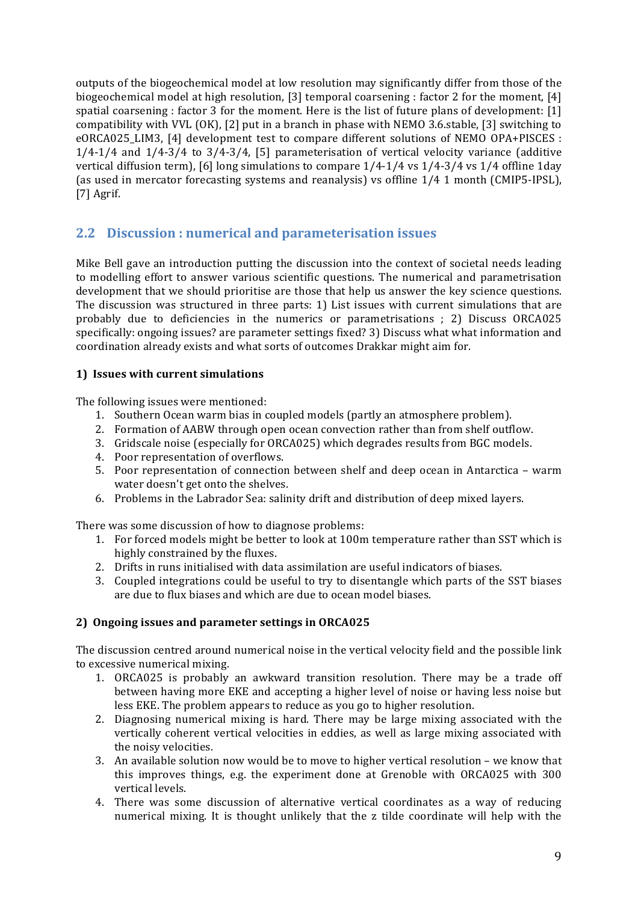outputs of the biogeochemical model at low resolution may significantly differ from those of the biogeochemical model at high resolution, [3] temporal coarsening : factor 2 for the moment, [4] spatial coarsening : factor 3 for the moment. Here is the list of future plans of development:  $[1]$ compatibility with VVL  $(OK)$ ,  $[2]$  put in a branch in phase with NEMO 3.6.stable,  $[3]$  switching to eORCA025 LIM3, [4] development test to compare different solutions of NEMO OPA+PISCES :  $1/4$ -1/4 and  $1/4$ -3/4 to  $3/4$ -3/4, [5] parameterisation of vertical velocity variance (additive vertical diffusion term), [6] long simulations to compare  $1/4$ -1/4 vs  $1/4$ -3/4 vs  $1/4$  offline 1day (as used in mercator forecasting systems and reanalysis) vs offline  $1/4$  1 month (CMIP5-IPSL),  $[7]$  Agrif.

## **2.2 Discussion : numerical and parameterisation issues**

Mike Bell gave an introduction putting the discussion into the context of societal needs leading to modelling effort to answer various scientific questions. The numerical and parametrisation development that we should prioritise are those that help us answer the key science questions. The discussion was structured in three parts: 1) List issues with current simulations that are probably due to deficiencies in the numerics or parametrisations : 2) Discuss ORCA025 specifically: ongoing issues? are parameter settings fixed? 3) Discuss what what information and coordination already exists and what sorts of outcomes Drakkar might aim for.

## **1) Issues with current simulations**

The following issues were mentioned:

- 1. Southern Ocean warm bias in coupled models (partly an atmosphere problem).
- 2. Formation of AABW through open ocean convection rather than from shelf outflow.
- 3. Gridscale noise (especially for ORCA025) which degrades results from BGC models.
- 4. Poor representation of overflows.
- 5. Poor representation of connection between shelf and deep ocean in Antarctica warm water doesn't get onto the shelves.
- 6. Problems in the Labrador Sea: salinity drift and distribution of deep mixed layers.

There was some discussion of how to diagnose problems:

- 1. For forced models might be better to look at 100m temperature rather than SST which is highly constrained by the fluxes.
- 2. Drifts in runs initialised with data assimilation are useful indicators of biases.
- 3. Coupled integrations could be useful to try to disentangle which parts of the SST biases are due to flux biases and which are due to ocean model biases.

## **2) Ongoing issues and parameter settings in ORCA025**

The discussion centred around numerical noise in the vertical velocity field and the possible link to excessive numerical mixing.

- 1. ORCA025 is probably an awkward transition resolution. There may be a trade off between having more EKE and accepting a higher level of noise or having less noise but less EKE. The problem appears to reduce as you go to higher resolution.
- 2. Diagnosing numerical mixing is hard. There may be large mixing associated with the vertically coherent vertical velocities in eddies, as well as large mixing associated with the noisy velocities.
- 3. An available solution now would be to move to higher vertical resolution we know that this improves things, e.g. the experiment done at Grenoble with  $ORCA025$  with  $300$ vertical levels.
- 4. There was some discussion of alternative vertical coordinates as a way of reducing numerical mixing. It is thought unlikely that the z tilde coordinate will help with the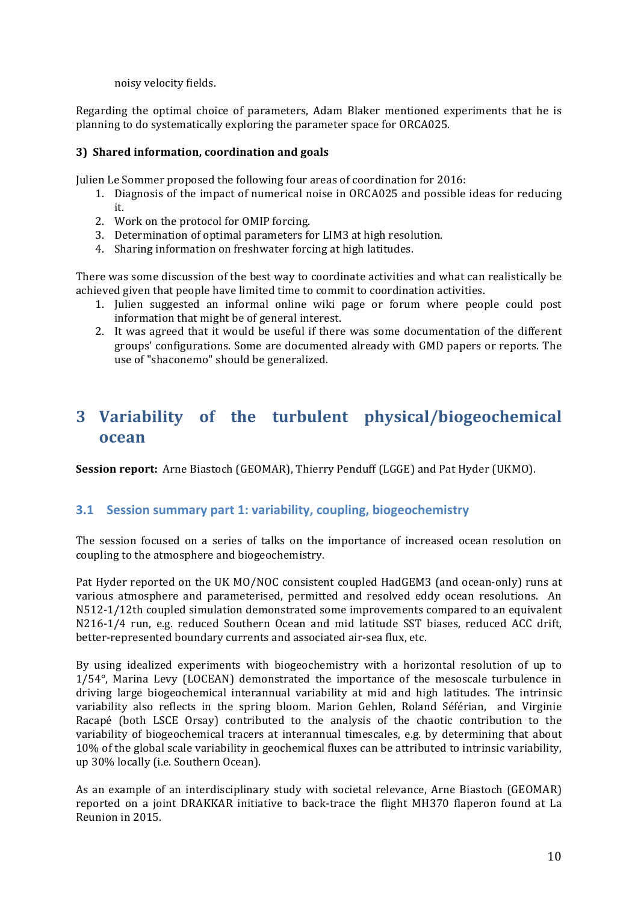noisy velocity fields.

Regarding the optimal choice of parameters, Adam Blaker mentioned experiments that he is planning to do systematically exploring the parameter space for ORCA025.

#### **3) Shared information, coordination and goals**

Julien Le Sommer proposed the following four areas of coordination for 2016:

- 1. Diagnosis of the impact of numerical noise in ORCA025 and possible ideas for reducing it.
- 2. Work on the protocol for OMIP forcing.
- 3. Determination of optimal parameters for LIM3 at high resolution.
- 4. Sharing information on freshwater forcing at high latitudes.

There was some discussion of the best way to coordinate activities and what can realistically be achieved given that people have limited time to commit to coordination activities.

- 1. Julien suggested an informal online wiki page or forum where people could post information that might be of general interest.
- 2. It was agreed that it would be useful if there was some documentation of the different groups' configurations. Some are documented already with GMD papers or reports. The use of "shaconemo" should be generalized.

# **3 Variability of the turbulent physical/biogeochemical ocean**

**Session report:** Arne Biastoch (GEOMAR), Thierry Penduff (LGGE) and Pat Hyder (UKMO).

### **3.1 Session summary part 1: variability, coupling, biogeochemistry**

The session focused on a series of talks on the importance of increased ocean resolution on coupling to the atmosphere and biogeochemistry.

Pat Hyder reported on the UK MO/NOC consistent coupled HadGEM3 (and ocean-only) runs at various atmosphere and parameterised, permitted and resolved eddy ocean resolutions. An N512-1/12th coupled simulation demonstrated some improvements compared to an equivalent N216-1/4 run, e.g. reduced Southern Ocean and mid latitude SST biases, reduced ACC drift, better-represented boundary currents and associated air-sea flux, etc.

By using idealized experiments with biogeochemistry with a horizontal resolution of up to 1/54°, Marina Levy (LOCEAN) demonstrated the importance of the mesoscale turbulence in driving large biogeochemical interannual variability at mid and high latitudes. The intrinsic variability also reflects in the spring bloom. Marion Gehlen, Roland Séférian, and Virginie Racapé (both LSCE Orsay) contributed to the analysis of the chaotic contribution to the variability of biogeochemical tracers at interannual timescales, e.g. by determining that about 10% of the global scale variability in geochemical fluxes can be attributed to intrinsic variability, up 30% locally (i.e. Southern Ocean).

As an example of an interdisciplinary study with societal relevance, Arne Biastoch (GEOMAR) reported on a joint DRAKKAR initiative to back-trace the flight MH370 flaperon found at La Reunion in 2015.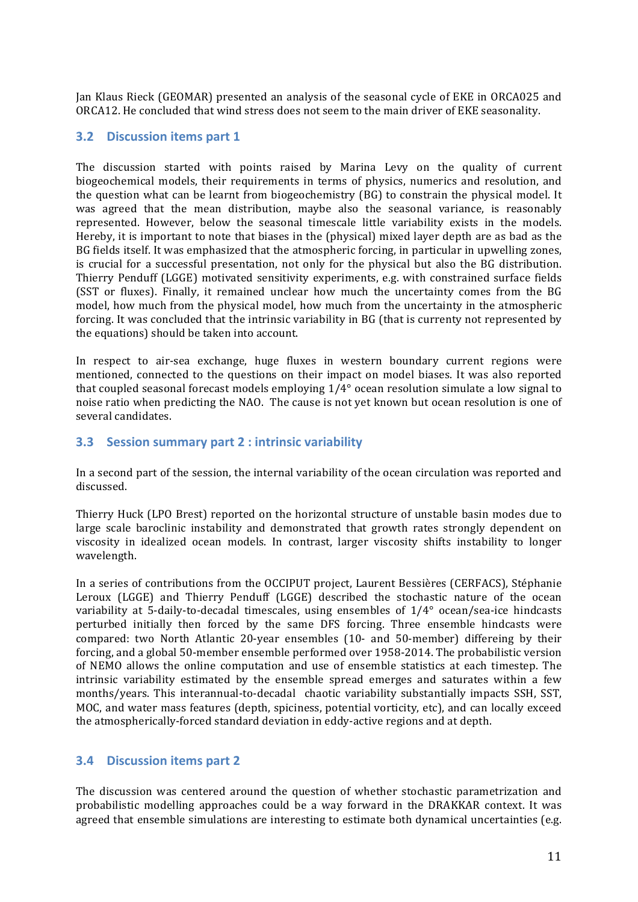Jan Klaus Rieck (GEOMAR) presented an analysis of the seasonal cycle of EKE in ORCA025 and ORCA12. He concluded that wind stress does not seem to the main driver of EKE seasonality.

### **3.2 Discussion items part 1**

The discussion started with points raised by Marina Levy on the quality of current biogeochemical models, their requirements in terms of physics, numerics and resolution, and the question what can be learnt from biogeochemistry (BG) to constrain the physical model. It was agreed that the mean distribution, maybe also the seasonal variance, is reasonably represented. However, below the seasonal timescale little variability exists in the models. Hereby, it is important to note that biases in the (physical) mixed layer depth are as bad as the BG fields itself. It was emphasized that the atmospheric forcing, in particular in upwelling zones, is crucial for a successful presentation, not only for the physical but also the BG distribution. Thierry Penduff (LGGE) motivated sensitivity experiments, e.g. with constrained surface fields (SST or fluxes). Finally, it remained unclear how much the uncertainty comes from the BG model, how much from the physical model, how much from the uncertainty in the atmospheric forcing. It was concluded that the intrinsic variability in BG (that is currenty not represented by the equations) should be taken into account.

In respect to air-sea exchange, huge fluxes in western boundary current regions were mentioned, connected to the questions on their impact on model biases. It was also reported that coupled seasonal forecast models employing 1/4° ocean resolution simulate a low signal to noise ratio when predicting the NAO. The cause is not yet known but ocean resolution is one of several candidates.

## **3.3** Session summary part 2 : intrinsic variability

In a second part of the session, the internal variability of the ocean circulation was reported and discussed.

Thierry Huck (LPO Brest) reported on the horizontal structure of unstable basin modes due to large scale baroclinic instability and demonstrated that growth rates strongly dependent on viscosity in idealized ocean models. In contrast, larger viscosity shifts instability to longer wavelength.

In a series of contributions from the OCCIPUT project, Laurent Bessières (CERFACS), Stéphanie Leroux (LGGE) and Thierry Penduff (LGGE) described the stochastic nature of the ocean variability at 5-daily-to-decadal timescales, using ensembles of 1/4° ocean/sea-ice hindcasts perturbed initially then forced by the same DFS forcing. Three ensemble hindcasts were compared: two North Atlantic 20-year ensembles (10- and 50-member) differeing by their forcing, and a global 50-member ensemble performed over 1958-2014. The probabilistic version of NEMO allows the online computation and use of ensemble statistics at each timestep. The intrinsic variability estimated by the ensemble spread emerges and saturates within a few months/years. This interannual-to-decadal chaotic variability substantially impacts SSH, SST, MOC, and water mass features (depth, spiciness, potential vorticity, etc), and can locally exceed the atmospherically-forced standard deviation in eddy-active regions and at depth.

## **3.4 Discussion items part 2**

The discussion was centered around the question of whether stochastic parametrization and probabilistic modelling approaches could be a way forward in the DRAKKAR context. It was agreed that ensemble simulations are interesting to estimate both dynamical uncertainties (e.g.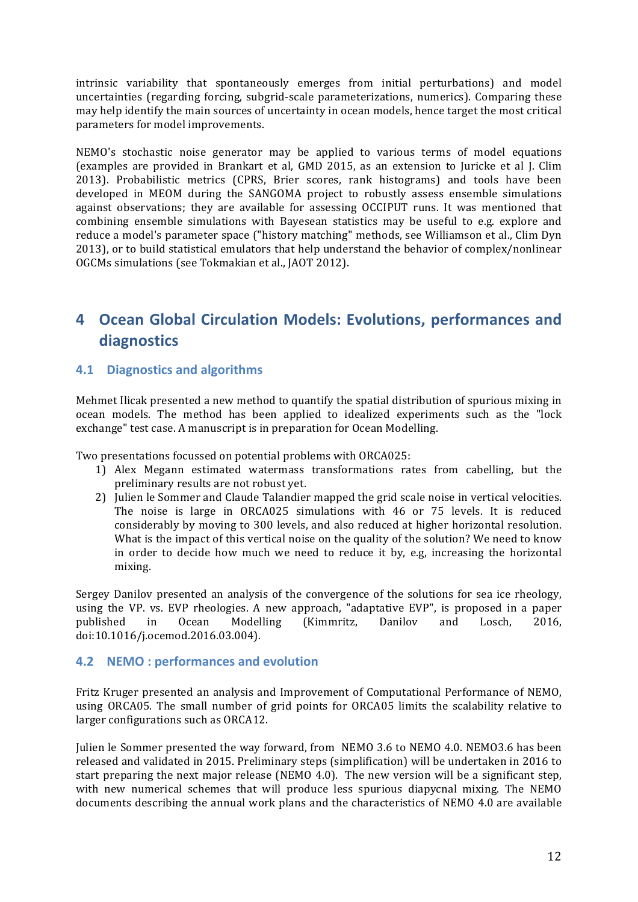intrinsic variability that spontaneously emerges from initial perturbations) and model uncertainties (regarding forcing, subgrid-scale parameterizations, numerics). Comparing these may help identify the main sources of uncertainty in ocean models, hence target the most critical parameters for model improvements.

NEMO's stochastic noise generator may be applied to various terms of model equations (examples are provided in Brankart et al, GMD 2015, as an extension to Juricke et al J. Clim 2013). Probabilistic metrics (CPRS, Brier scores, rank histograms) and tools have been developed in MEOM during the SANGOMA project to robustly assess ensemble simulations against observations; they are available for assessing OCCIPUT runs. It was mentioned that combining ensemble simulations with Bayesean statistics may be useful to e.g. explore and reduce a model's parameter space ("history matching" methods, see Williamson et al., Clim Dyn 2013), or to build statistical emulators that help understand the behavior of complex/nonlinear OGCMs simulations (see Tokmakian et al., JAOT 2012).

## **4 Ocean Global Circulation Models: Evolutions, performances and diagnostics**

## **4.1 Diagnostics and algorithms**

Mehmet Ilicak presented a new method to quantify the spatial distribution of spurious mixing in ocean models. The method has been applied to idealized experiments such as the "lock exchange" test case. A manuscript is in preparation for Ocean Modelling.

Two presentations focussed on potential problems with ORCA025:

- 1) Alex Megann estimated watermass transformations rates from cabelling, but the preliminary results are not robust yet.
- 2) Julien le Sommer and Claude Talandier mapped the grid scale noise in vertical velocities. The noise is large in ORCA025 simulations with 46 or 75 levels. It is reduced considerably by moving to 300 levels, and also reduced at higher horizontal resolution. What is the impact of this vertical noise on the quality of the solution? We need to know in order to decide how much we need to reduce it by, e.g, increasing the horizontal mixing.

Sergey Danilov presented an analysis of the convergence of the solutions for sea ice rheology, using the VP. vs. EVP rheologies. A new approach, "adaptative EVP", is proposed in a paper published in Ocean Modelling (Kimmritz, Danilov and Losch, 2016, doi:10.1016/j.ocemod.2016.03.004). 

## **4.2 NEMO: performances and evolution**

Fritz Kruger presented an analysis and Improvement of Computational Performance of NEMO, using ORCA05. The small number of grid points for ORCA05 limits the scalability relative to larger configurations such as ORCA12.

Julien le Sommer presented the way forward, from NEMO 3.6 to NEMO 4.0, NEMO3.6 has been released and validated in 2015. Preliminary steps (simplification) will be undertaken in 2016 to start preparing the next major release (NEMO 4.0). The new version will be a significant step, with new numerical schemes that will produce less spurious diapycnal mixing. The NEMO documents describing the annual work plans and the characteristics of NEMO 4.0 are available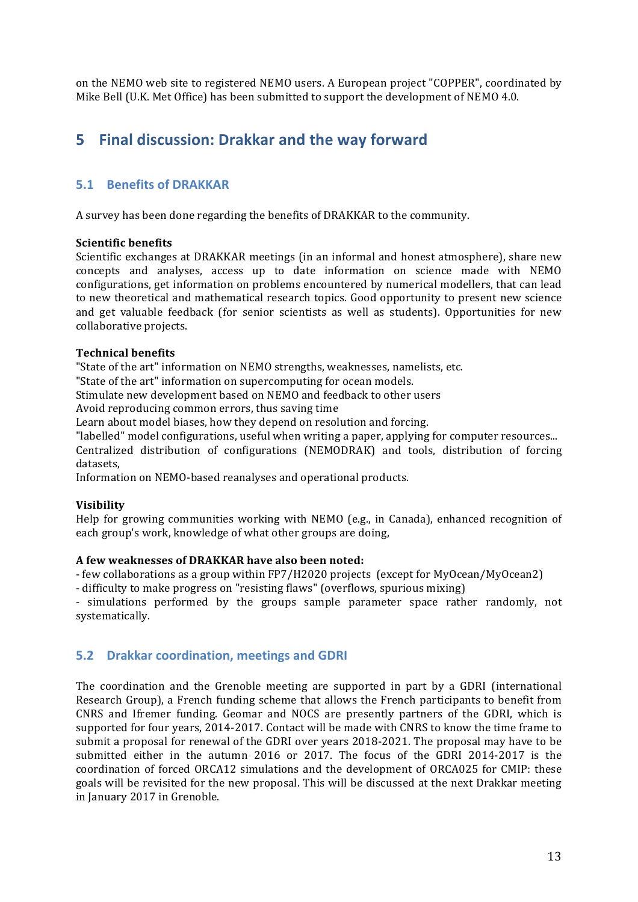on the NEMO web site to registered NEMO users. A European project "COPPER", coordinated by Mike Bell (U.K. Met Office) has been submitted to support the development of NEMO 4.0.

## **5** Final discussion: Drakkar and the way forward

## **5.1 Benefits of DRAKKAR**

A survey has been done regarding the benefits of DRAKKAR to the community.

### **Scientific benefits**

Scientific exchanges at DRAKKAR meetings (in an informal and honest atmosphere), share new concepts and analyses, access up to date information on science made with NEMO configurations, get information on problems encountered by numerical modellers, that can lead to new theoretical and mathematical research topics. Good opportunity to present new science and get valuable feedback (for senior scientists as well as students). Opportunities for new collaborative projects.

### **Technical benefits**

"State of the art" information on NEMO strengths, weaknesses, namelists, etc.

"State of the art" information on supercomputing for ocean models.

Stimulate new development based on NEMO and feedback to other users

Avoid reproducing common errors, thus saving time

Learn about model biases, how they depend on resolution and forcing.

"labelled" model configurations, useful when writing a paper, applying for computer resources...

Centralized distribution of configurations (NEMODRAK) and tools, distribution of forcing datasets,

Information on NEMO-based reanalyses and operational products.

### **Visibility**

Help for growing communities working with NEMO (e.g., in Canada), enhanced recognition of each group's work, knowledge of what other groups are doing,

#### A few weaknesses of DRAKKAR have also been noted:

- few collaborations as a group within FP7/H2020 projects (except for MyOcean/MyOcean2)

- difficulty to make progress on "resisting flaws" (overflows, spurious mixing)

- simulations performed by the groups sample parameter space rather randomly, not systematically. 

## **5.2 Drakkar coordination, meetings and GDRI**

The coordination and the Grenoble meeting are supported in part by a GDRI (international Research Group), a French funding scheme that allows the French participants to benefit from CNRS and Ifremer funding. Geomar and NOCS are presently partners of the GDRI, which is supported for four years, 2014-2017. Contact will be made with CNRS to know the time frame to submit a proposal for renewal of the GDRI over years 2018-2021. The proposal may have to be submitted either in the autumn 2016 or 2017. The focus of the GDRI 2014-2017 is the coordination of forced ORCA12 simulations and the development of ORCA025 for CMIP: these goals will be revisited for the new proposal. This will be discussed at the next Drakkar meeting in January 2017 in Grenoble.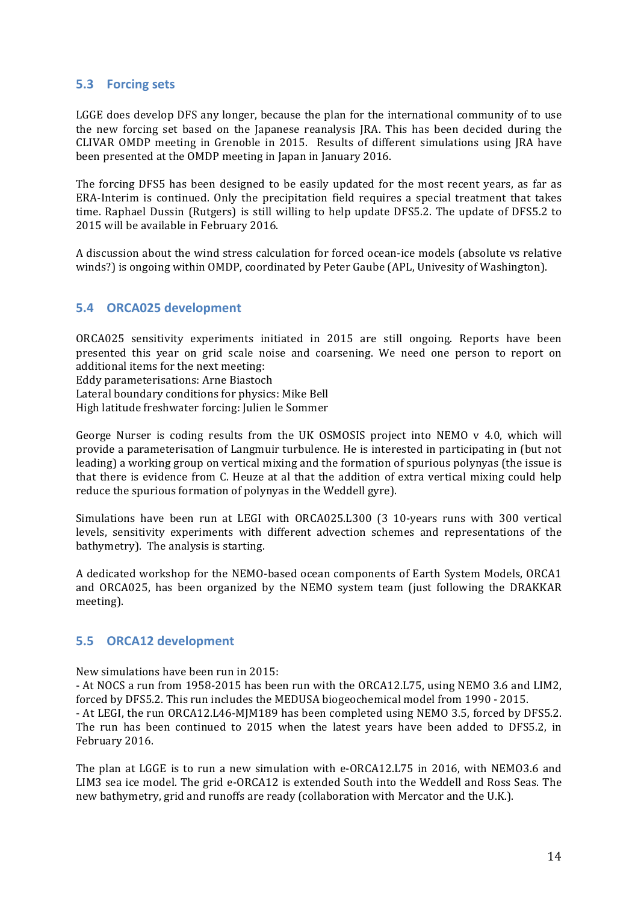## **5.3 Forcing sets**

LGGE does develop DFS any longer, because the plan for the international community of to use the new forcing set based on the Japanese reanalysis JRA. This has been decided during the CLIVAR OMDP meeting in Grenoble in 2015. Results of different simulations using JRA have been presented at the OMDP meeting in Japan in January 2016.

The forcing DFS5 has been designed to be easily updated for the most recent vears, as far as ERA-Interim is continued. Only the precipitation field requires a special treatment that takes time. Raphael Dussin (Rutgers) is still willing to help update DFS5.2. The update of DFS5.2 to 2015 will be available in February 2016.

A discussion about the wind stress calculation for forced ocean-ice models (absolute vs relative winds?) is ongoing within OMDP, coordinated by Peter Gaube (APL, Univesity of Washington).

## **5.4 ORCA025 development**

ORCA025 sensitivity experiments initiated in 2015 are still ongoing. Reports have been presented this year on grid scale noise and coarsening. We need one person to report on additional items for the next meeting:

Eddy parameterisations: Arne Biastoch

Lateral boundary conditions for physics: Mike Bell

High latitude freshwater forcing: Julien le Sommer

George Nurser is coding results from the UK OSMOSIS project into NEMO  $v$  4.0, which will provide a parameterisation of Langmuir turbulence. He is interested in participating in (but not leading) a working group on vertical mixing and the formation of spurious polynyas (the issue is that there is evidence from C. Heuze at al that the addition of extra vertical mixing could help reduce the spurious formation of polynyas in the Weddell gyre).

Simulations have been run at LEGI with ORCA025.L300 (3 10-years runs with 300 vertical levels, sensitivity experiments with different advection schemes and representations of the bathymetry). The analysis is starting.

A dedicated workshop for the NEMO-based ocean components of Earth System Models, ORCA1 and ORCA025, has been organized by the NEMO system team (just following the DRAKKAR meeting).

### **5.5 ORCA12 development**

February 2016.

New simulations have been run in 2015:

- At NOCS a run from 1958-2015 has been run with the ORCA12.L75, using NEMO 3.6 and LIM2, forced by DFS5.2. This run includes the MEDUSA biogeochemical model from 1990 - 2015. - At LEGI, the run ORCA12.L46-MJM189 has been completed using NEMO 3.5, forced by DFS5.2. The run has been continued to 2015 when the latest years have been added to DFS5.2, in

The plan at LGGE is to run a new simulation with e-ORCA12.L75 in 2016, with NEMO3.6 and LIM3 sea ice model. The grid e-ORCA12 is extended South into the Weddell and Ross Seas. The new bathymetry, grid and runoffs are ready (collaboration with Mercator and the U.K.).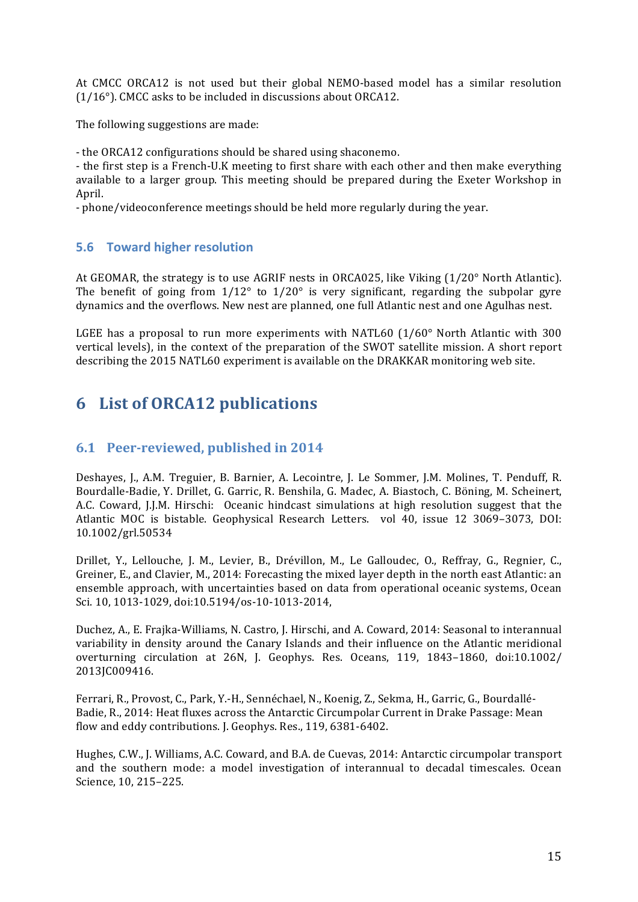At CMCC ORCA12 is not used but their global NEMO-based model has a similar resolution  $(1/16°)$ . CMCC asks to be included in discussions about ORCA12.

The following suggestions are made:

- the ORCA12 configurations should be shared using shaconemo.

- the first step is a French-U.K meeting to first share with each other and then make everything available to a larger group. This meeting should be prepared during the Exeter Workshop in April. 

- phone/videoconference meetings should be held more regularly during the year.

## **5.6 Toward higher resolution**

At GEOMAR, the strategy is to use AGRIF nests in ORCA025, like Viking  $(1/20^{\circ}$  North Atlantic). The benefit of going from  $1/12^{\circ}$  to  $1/20^{\circ}$  is very significant, regarding the subpolar gyre dynamics and the overflows. New nest are planned, one full Atlantic nest and one Agulhas nest.

LGEE has a proposal to run more experiments with NATL60  $(1/60^{\circ}$  North Atlantic with 300 vertical levels), in the context of the preparation of the SWOT satellite mission. A short report describing the 2015 NATL60 experiment is available on the DRAKKAR monitoring web site.

# **6 List of ORCA12 publications**

## **6.1 Peer-reviewed, published in 2014**

Deshayes, J., A.M. Treguier, B. Barnier, A. Lecointre, J. Le Sommer, J.M. Molines, T. Penduff, R. Bourdalle-Badie, Y. Drillet, G. Garric, R. Benshila, G. Madec, A. Biastoch, C. Böning, M. Scheinert, A.C. Coward, I.J.M. Hirschi: Oceanic hindcast simulations at high resolution suggest that the Atlantic MOC is bistable. Geophysical Research Letters. vol 40, issue 12 3069-3073, DOI: 10.1002/grl.50534 

Drillet, Y., Lellouche, J. M., Levier, B., Drévillon, M., Le Galloudec, O., Reffray, G., Regnier, C., Greiner, E., and Clavier, M., 2014: Forecasting the mixed layer depth in the north east Atlantic: an ensemble approach, with uncertainties based on data from operational oceanic systems, Ocean Sci. 10, 1013-1029, doi:10.5194/os-10-1013-2014,

Duchez, A., E. Frajka-Williams, N. Castro, J. Hirschi, and A. Coward, 2014: Seasonal to interannual variability in density around the Canary Islands and their influence on the Atlantic meridional overturning circulation at 26N, J. Geophys. Res. Oceans, 119, 1843-1860, doi:10.1002/ 2013JC009416.

Ferrari, R., Provost, C., Park, Y.-H., Sennéchael, N., Koenig, Z., Sekma, H., Garric, G., Bourdallé-Badie, R., 2014: Heat fluxes across the Antarctic Circumpolar Current in Drake Passage: Mean flow and eddy contributions. J. Geophys. Res., 119, 6381-6402.

Hughes, C.W., J. Williams, A.C. Coward, and B.A. de Cuevas, 2014: Antarctic circumpolar transport and the southern mode: a model investigation of interannual to decadal timescales. Ocean Science, 10, 215-225.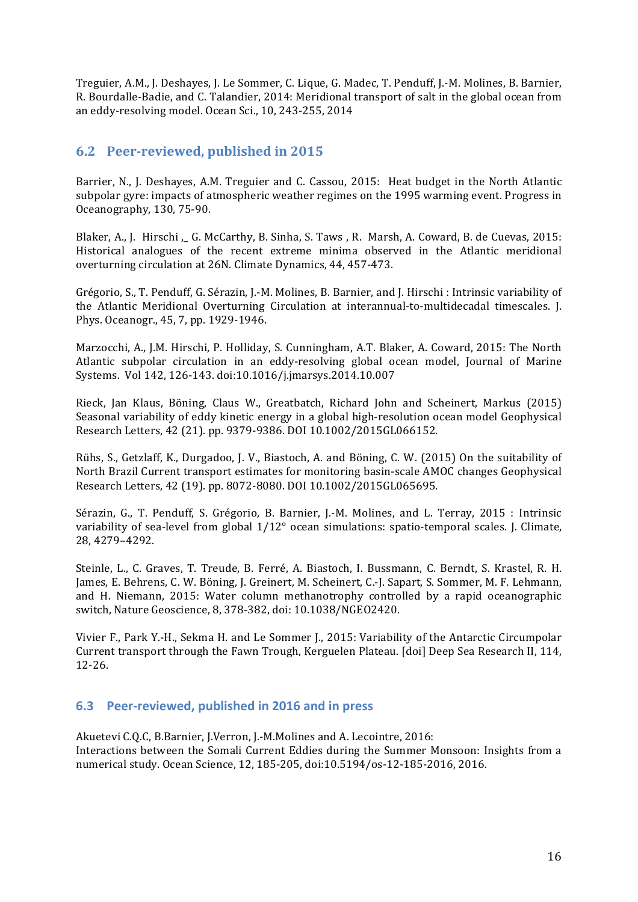Treguier, A.M., J. Deshayes, J. Le Sommer, C. Lique, G. Madec, T. Penduff, J.-M. Molines, B. Barnier, R. Bourdalle-Badie, and C. Talandier, 2014: Meridional transport of salt in the global ocean from an eddy-resolving model. Ocean Sci., 10, 243-255, 2014

## **6.2** Peer-reviewed, published in 2015

Barrier, N., J. Deshayes, A.M. Treguier and C. Cassou, 2015: Heat budget in the North Atlantic subpolar gyre: impacts of atmospheric weather regimes on the 1995 warming event. Progress in Oceanography, 130, 75-90.

Blaker, A., J. Hirschi, G. McCarthy, B. Sinha, S. Taws, R. Marsh, A. Coward, B. de Cuevas, 2015: Historical analogues of the recent extreme minima observed in the Atlantic meridional overturning circulation at 26N. Climate Dynamics, 44, 457-473.

Grégorio, S., T. Penduff, G. Sérazin, J.-M. Molines, B. Barnier, and J. Hirschi : Intrinsic variability of the Atlantic Meridional Overturning Circulation at interannual-to-multidecadal timescales. [. Phys. Oceanogr., 45, 7, pp. 1929-1946.

Marzocchi, A., J.M. Hirschi, P. Holliday, S. Cunningham, A.T. Blaker, A. Coward, 2015: The North Atlantic subpolar circulation in an eddy-resolving global ocean model, Journal of Marine Systems. Vol 142, 126-143. doi:10.1016/j.jmarsys.2014.10.007

Rieck, Jan Klaus, Böning, Claus W., Greatbatch, Richard John and Scheinert, Markus (2015) Seasonal variability of eddy kinetic energy in a global high-resolution ocean model Geophysical Research Letters, 42 (21). pp. 9379-9386. DOI 10.1002/2015GL066152.

Rühs, S., Getzlaff, K., Durgadoo, J. V., Biastoch, A. and Böning, C. W. (2015) On the suitability of North Brazil Current transport estimates for monitoring basin-scale AMOC changes Geophysical Research Letters, 42 (19). pp. 8072-8080. DOI 10.1002/2015GL065695.

Sérazin, G., T. Penduff, S. Grégorio, B. Barnier, J.-M. Molines, and L. Terray, 2015 : Intrinsic variability of sea-level from global  $1/12^{\circ}$  ocean simulations: spatio-temporal scales. J. Climate, 28, 4279–4292.

Steinle, L., C. Graves, T. Treude, B. Ferré, A. Biastoch, I. Bussmann, C. Berndt, S. Krastel, R. H. James, E. Behrens, C. W. Böning, J. Greinert, M. Scheinert, C.-J. Sapart, S. Sommer, M. F. Lehmann, and H. Niemann, 2015: Water column methanotrophy controlled by a rapid oceanographic switch, Nature Geoscience, 8, 378-382, doi: 10.1038/NGEO2420.

Vivier F., Park Y.-H., Sekma H. and Le Sommer J., 2015: Variability of the Antarctic Circumpolar Current transport through the Fawn Trough, Kerguelen Plateau. [doi] Deep Sea Research II, 114, 12-26.

## **6.3** Peer-reviewed, published in 2016 and in press

Akuetevi C.O.C, B.Barnier, J.Verron, J.-M.Molines and A. Lecointre, 2016: Interactions between the Somali Current Eddies during the Summer Monsoon: Insights from a numerical study. Ocean Science, 12, 185-205, doi:10.5194/os-12-185-2016, 2016.